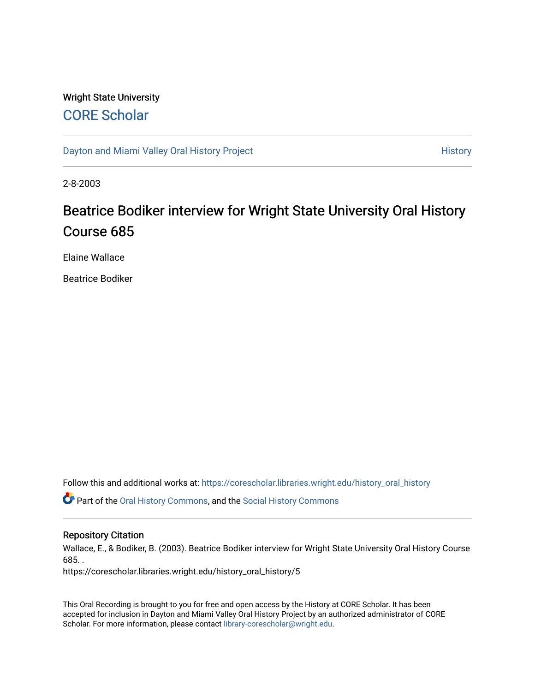# Wright State University [CORE Scholar](https://corescholar.libraries.wright.edu/)

[Dayton and Miami Valley Oral History Project](https://corescholar.libraries.wright.edu/history_oral_history) **History** History

2-8-2003

# Beatrice Bodiker interview for Wright State University Oral History Course 685

Elaine Wallace

Beatrice Bodiker

Follow this and additional works at: [https://corescholar.libraries.wright.edu/history\\_oral\\_history](https://corescholar.libraries.wright.edu/history_oral_history?utm_source=corescholar.libraries.wright.edu%2Fhistory_oral_history%2F5&utm_medium=PDF&utm_campaign=PDFCoverPages) 

Part of the [Oral History Commons](http://network.bepress.com/hgg/discipline/1195?utm_source=corescholar.libraries.wright.edu%2Fhistory_oral_history%2F5&utm_medium=PDF&utm_campaign=PDFCoverPages), and the [Social History Commons](http://network.bepress.com/hgg/discipline/506?utm_source=corescholar.libraries.wright.edu%2Fhistory_oral_history%2F5&utm_medium=PDF&utm_campaign=PDFCoverPages)

# Repository Citation

Wallace, E., & Bodiker, B. (2003). Beatrice Bodiker interview for Wright State University Oral History Course 685. .

https://corescholar.libraries.wright.edu/history\_oral\_history/5

This Oral Recording is brought to you for free and open access by the History at CORE Scholar. It has been accepted for inclusion in Dayton and Miami Valley Oral History Project by an authorized administrator of CORE Scholar. For more information, please contact [library-corescholar@wright.edu](mailto:library-corescholar@wright.edu).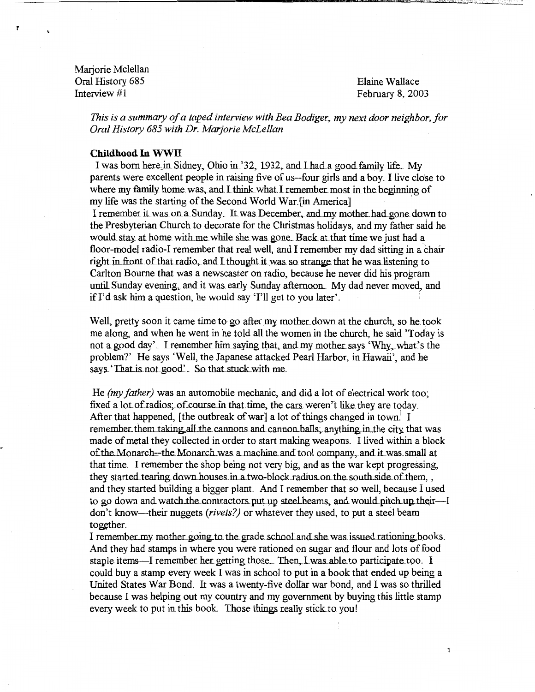Marjorie Mclellan Oral History 685 Elaine Wallace<br>
Interview #1 Echnics Enterview #1

1'

February 8, 2003

1

*This is a summary of a taped interview with Bea Bodiger, my next door neighbor, for Oral History 685 with Dr. Marjorie McLellan* 

#### **Childhood In WWIT**

I was born here in Sidney, Ohio in '32, 1932, and I had a good family life. My parents were excellent people in raising five of us--four girls and a boy. I live close to where my family home was, and I think what I remember most in the beginning of my life was the starting of the Second World War. [in America]

I remember it was on a Sunday. It was December, and my mother had gone down to the Presbyterian Church to decorate for the Christmas holidays, and my father said he would stay at home with me while she was gone. Back at that time we just had a floor-model radio-I remember that real well, and I remember my dad sitting in a chair right in front of that radio, and I thought it was so strange that he was listening to Carlton Bourne that was a newscaster on radio, because he never did his program until Sunday evening, and it was early Sunday afternoon. My dad never moved, and if  $I'$ d ask him a question, he would say ' $I'$ ll get to you later'.

Well, pretty soon it came time to go after my mother down at the church, so he took me along, and when he went in he told all the women in the church, he said 'Today is not a good day'. I remember him saying that, and my mother says 'Why, what's the problem?' He says 'Well, the Japanese attacked Pearl Harbor, in Hawaii', and he says. 'That is not good'. So that stuck with me.

He *(my father)* was an automobile mechanic, and did a lot of electrical work too; fixed a lot of radios; of course in that time, the cars weren't like they are today. After that happened, [the outbreak of war] a lot of things changed in town.<sup>1</sup> I remember them taking all the cannons and cannon balls. anything in the city that was made of metal they collected in order to start making weapons. I lived within a block of the Monarch--the Monarch was a machine and tool company, and it was small at that time. I remember the shop being not very big, and as the war kept progressing, they started tearing down houses in a two-block radius on the south side of them, , and they started building a bigger plant. And I remember that so well, because I used to go down and watch the contractors put up steel beams, and would pitch up their-I don't know-their nuggets *(rivets?)* or whatever they used, to put a steel beam together.

I remember my mother going to the grade school and she was issued rationing books. And they had stamps in where you were rationed on sugar and flour and lots of food staple items—I remember her getting those. Then., I was able to participate too. I could buy a stamp every week I was in school to put in a book that ended up being a United States War Bond. It was a twenty-five dollar war bond, and I was so thrilled because I was helping out my country and my government by buying this little stamp every week to put in this book. Those things really stick to you!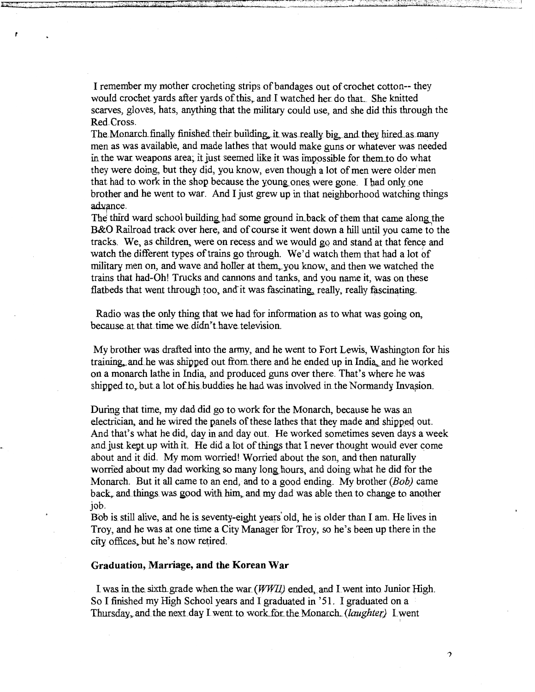I remember my mother crocheting strips of bandages out of crochet cotton-- they would crochet yards after yards of this, and I watched her do that. She knitted scarves, gloves, hats, anything that the military could use, and she did this through the Red Cross.

The Monarch finally finished their building, it was really big, and they hired as many men as was available, and made lathes that would make guns or whatever was needed in the war. weapons area; it just seemed like it was impossible for them to do what they were doing, but they did, you know, even though a lot of men were older men that had to work in the shop because the young ones were gone. I had only one brother and he went to war. And I just grew up in that neighborhood watching things advance.

The third ward school building had some ground in back of them that came along the B&O Railroad track over here, and of course it went down a hill until you came to the tracks. We, as children, were on recess and we would go and stand at that fence and watch the different types of trains go through. We'd watch them that had a lot of military men on, and wave and holler at them, you know, and then we watched the trains that had-Oh! Trucks and cannons and tanks, and you name it, was on these flatbeds that went through too, and it was fascinating, really, really fascinating.

Radio was the only thing that we had for information as to what was going on, because at that time we didn't have television.

My brother was drafted into the army, and he went to Fort Lewis, Washington for his training, and he was shipped out from there and he ended up in India, and he worked on a monarch lathe in India, and produced guns over there. That's where he was shipped to, but a lot of his buddies he had was involved in the Normandy Invasion.

During that time, my dad did go to work for the Monarch, because he was an electrician, and he wired the panels of these lathes that they made and shipped out. And that's what he did, day in and day out. He worked sometimes seven days a week and just kept up with it. He did a lot of things that I never thought would ever come about and it did. My mom worried! Worried about the son, and then naturally worried about my dad working so many long hours, and doing what he did for the Monarch. But it all came to an end, and to a good ending. My brother (Bob) came back, and things was good with him, and my dad was able then to change to another job,

Bob is still alive, and he is seventy-eight years' old, he is older than I am. He lives in Troy, and he was at one time a City Manager for Troy, so he's been up there in the city offices, but he's now retired.

#### **Graduation, Marriage, and the Korean War**

I was in the sixth grade when the war *(WWII)* ended, and I went into Junior High. So I finished my High School years and I graduated in '51. I graduated on a Thursday, and the next day I went to work for the Monarch. *(laughter)* I went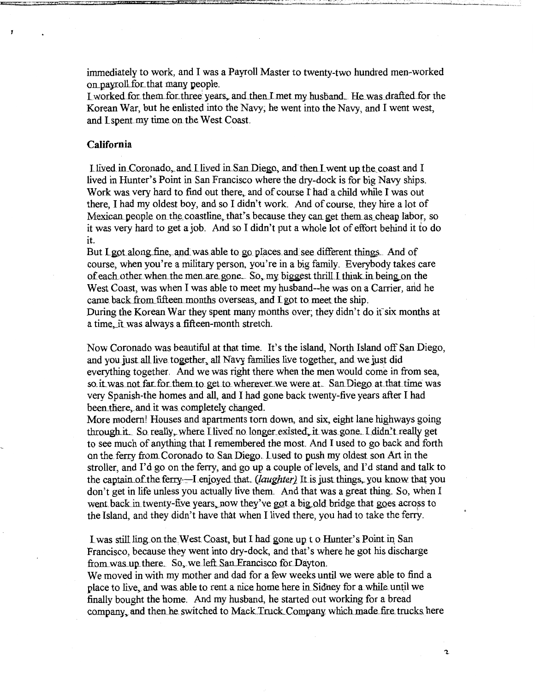immediately to work, and I was a Payroll Master to twenty-two hundred men-worked on payroll for that many people.

I worked for them for three years, and then I met my husband. He was drafted for the Korean War, but he enlisted into the Navy; he went into the Navy, and I went west, and I spent my time on the West Coast.

# **California**

I lived in Coronado., and I lived in San Diego, and then I went up the coast and I lived in Hunter's Point in San Francisco where the dry-dock is for big Navy ships. Work was very hard to find out there, and of course I had a child while I was out there, I had my oldest boy, and so I didn't work. And of course, they hire a lot of Mexican people on the coastline, that's because they can get them as cheap labor, so it was very hard to get a job. And so I didn't put a whole lot of effort behind it to do it.

But Lgot along fine, and was able to go places and see different things. And of course, when you're a military person, you're in a big family. Everybody takes care of each other when the men are gone. So, my biggest thrill I think in being on the West Coast, was when I was able to meet my husband--he was on a Carrier, and he came back from fifteen months overseas, and I got to meet the ship. During the Korean War they spent many months over; they didn't do it six months at a time, it was always a fifteen-month stretch.

Now Coronado was beautiful at that time. It's the island, North Island off San Diego, and you just all live together, all Navy families live together, and we just did everything together. And we was right there when the men would come in from sea, so it was not far for them to get to wherever we were at. San Diego at that time was very Spanish-the homes and all, and I had gone back twenty-five years after I had been there, and it was completely changed.

More modern! Houses and apartments torn down, and six, eight lane highways going through it. So really, where I lived no longer existed, it was gone. I didn't really get to see much of anything that I remembered the most. And I used to go back and forth on the ferry from. Coronado to San Diego. Lused to push my oldest sonArt in the stroller, and I'd go on the ferry, and go up a couple of levels, and I'd stand and talk to the captain of the ferry—I enjoyed that. *(laughter)* It is just things, you know that you don't get in life unless you actually live them. And that was a great thing. So, when I went back in twenty-five years, now they've got a big old bridge that goes across to the Island, and they didn't have that when I lived there, you had to take the ferry.

I was still ling on the West Coast, but I had gone up t o Hunter's Point in San Francisco, because they went into dry-dock, and that's where he got his discharge from was up there. So, we left San Francisco for Dayton.

We moved in with my mother and dad for a few weeks until we were able to find a place to live, and was able to rent a nice home here in Sidney for a while until we finally bought the home. And my husband, he started out working for a bread company, and then he switched to Mack Truck.Company which made fire trucks here

 $\mathbf{c}$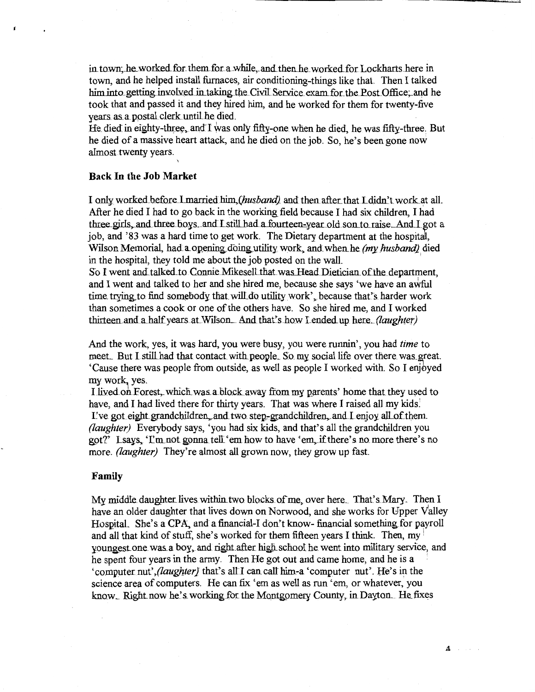in town; he worked for them for a while, and then he worked for Lockharts here in town, and he helped install furnaces, air conditioning-things like that. Then I talked him into getting involved in taking the Civil Service exam for the Post Office, and he took that and passed it and they hired him, and he worked for them for twenty-five years as a postal clerk until he died.

He died in eighty-three, and I was only fifty-one when he died, he was fifty-three. But he died of a massive heart attack, and he died on the job. So, he's been gone now almost twenty years.

## **Back In the Job Market**

I only worked before I married him (husband) and then after that I didn't work at all. After he died I had to go back in the working field because I had six children, I had three girls, and three boys, and I still had a fourteen-year old son to raise. And I got a job, and '83 was a hard time to get work. The Dietary department at the hospital, Wilson Memorial, had a opening doing utility work, and when he (my husband) died in the hospital, they told me about the job posted on the wall.

So I went and talked to Connie Mikesell that was Head Dietician of the department, and I went and talked to her and she hired me, because she says 'we have an awful time trying to find somebody that will do utility work', because that's harder work than sometimes a cook or one of the others have. So she hired me, and I worked thirteen and a half years at Wilson. And that's how Lended up here. (laughter)

And the work, yes, it was hard, you were busy, you were runnin', you had time to meet. But I still had that contact with people. So my social life over there was great. 'Cause there was people from outside, as well as people I worked with. So I enjoyed my work, yes.

I lived on Forest, which was a block away from my parents' home that they used to have, and I had lived there for thirty years. That was where I raised all my kids! I've got eight grandchildren, and two step-grandchildren, and I enjoy all of them. (laughter) Everybody says, 'you had six kids, and that's all the grandchildren you got?' Lsays, 'I'm not gonna tell 'em how to have 'em, if there's no more there's no more. *(laughter)* They're almost all grown now, they grow up fast.

## Family

My middle daughter lives within two blocks of me, over here. That's Mary. Then I have an older daughter that lives down on Norwood, and she works for Upper Valley Hospital. She's a CPA, and a financial-I don't know-financial something for payroll and all that kind of stuff, she's worked for them fifteen years I think. Then, my youngest one was a boy, and right after high school he went into military service, and he spent four years in the army. Then He got out and came home, and he is a 'computer nut', (laughter) that's all I can call him-a 'computer nut'. He's in the science area of computers. He can fix 'em as well as run 'em, or whatever, you know. Right now he's working for the Montgomery County, in Dayton. He fixes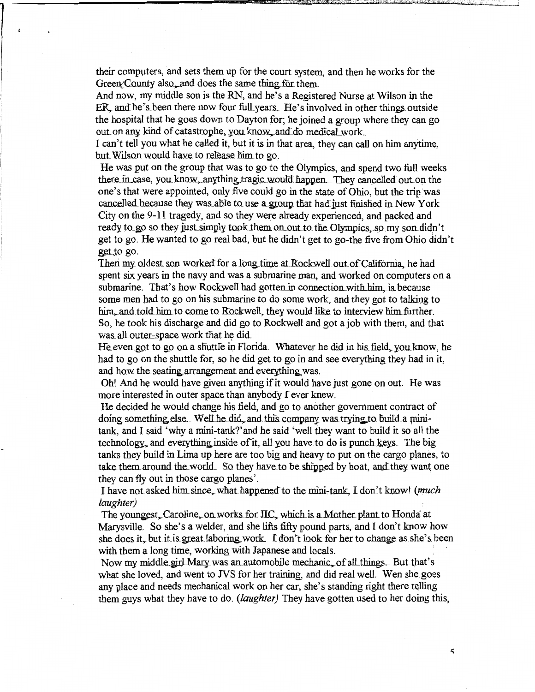their compvters, and sets them up for the court system, and then he works for the Green/County also, and does the same thing for them.

And now, my middle son is the RN, and he's a Registered Nurse at Wilson ip the ER, and he's been there now four full years. He's involved in other things outside the hospital that he goes down to Dayton for; he joined a group where they can go out on any kind of catastrophe, you know, and do medical work.

I can't tell you what he called it, but it is in that area, they can call on him anytime, but Wilson would have to release him to go.

He was put on the group that was to go to the Olympics, and spend two full weeks there in case, you know, anything tragic would happen. They cancelled out on the one's that were appointed, only five could go in the state ofOhio, but the trip'was cancelled because they was able to use a group that had just finished in New York. City on the 9-11 tragedy, and so they were already experienced, and packed and ready to go so they just simply took them on out to the Olympics. so my son didn't get to go. He wanted to go real bad, but he didn't get to go-the five from Ohio didn't get to go.

Then my oldest son worked for a long time at Rockwell out of California, he had spent six years in the navy and was a submarine man, and worked on computers on a submarine. That's how Rockwell had gotten in connection with him, is because some men had to go on his submarine to do some work, and they got to talking to him, and told him to come to Rockwell, they would like to interview him further. So, he took his discharge and did go to Rockwell and got a job with them, and that was all outer-space work that he did.

He even got to go on a shuttle in Florida. Whatever he did in his field, you know, he had to go on the shuttle for, so he did get to go in and see everything they had in it, and how the seating arrangement and everything was.

Oh! And he would have given anything if it would have just gone on out. He was more interested in outer space than anybody I ever knew.

He decided he would change his field, and go to another government contract of doing something else. Well he did, and this company was trying to build a minitank, and I said 'why a mini-tank?' and he said 'well they want to build it so all the technology, and everything inside of it, all you have to do is punch keys. The big tanks they build in Lima up here are too big and heavy to put on the cargo planes, to take them around the world. So they have to be shipped by boat, and they want one they can fly out in those cargo planes'.

I have not asked him since, what happened to the mini-tank, I don't know! (*much laughter)* 

The youngest, Caroline, on works for JIC, which is a Mother plant to Honda at Marysville. So she's a welder, and she lifts fifty pound parts, and I don't know how she does it, but it is great laboring work. I don't look for her to change as she's been with them a long time, working with Japanese and locals.

Now my middle girl Mary was an automobile mechanic, of all things... But that's what she loved, and went to JVS for her training, and did real well. Wen she goes any place and needs mechanical work on her car, she's standing right there telling them guys what they have to do. *(laughter)* They have gotten used to her doing this,

 $\varsigma$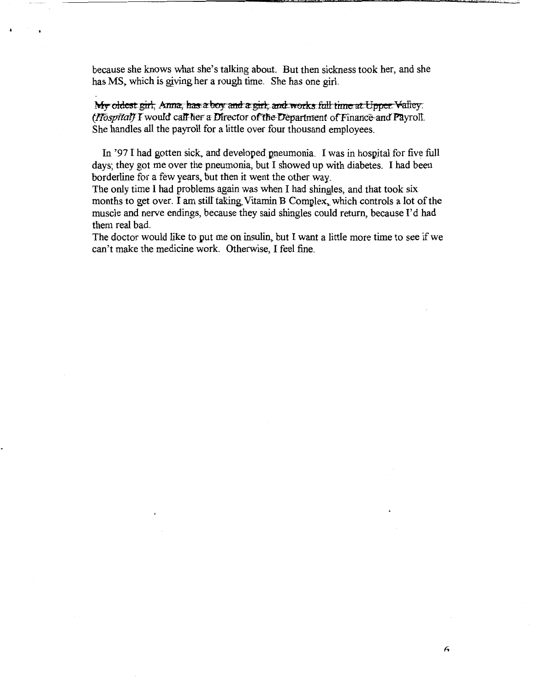because she knows what she's talking about. But then sickness took her, and she has MS, which is giving her a rough time. She has one girl.

My oldest girl; Anna; has a boy and a girl; and works fall time at Upper Valley. *(Hospital)* I would call her a Director of the Department of Finance and Payroll. She handles all the payroll for a little over four thousand employees.

In '97 I had gotten sick, and developed pneumonia. I was in hospital for five full days; they got me over the pneumonia, but I showed up with diabetes. I had been borderline for a few years, but then it went the other way.

The only time I had problems again was when I had shingles, and that took six months to get over. I am still taking Vitamin B Complex, which controls a lot of the muscle and nerve endings, because they said shingles could return, because I'd had them real bad.

The doctor would like to put me on insulin, but 1 want a little more time to see if we can't make the medicine work. Otherwise, I feel fine.

 $\epsilon$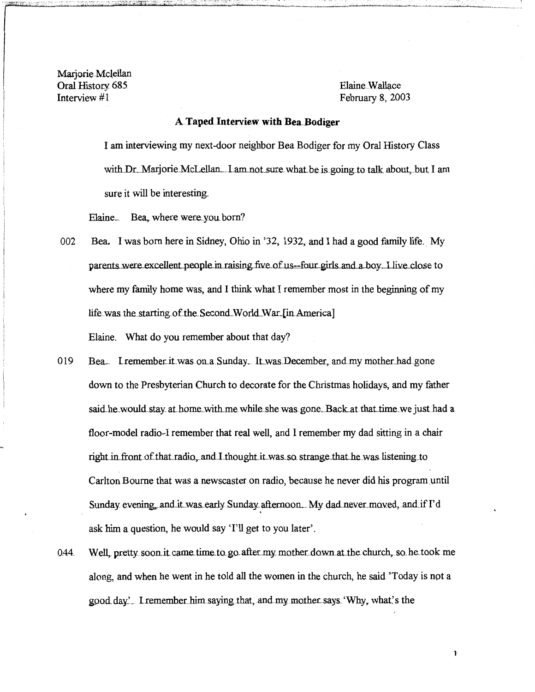Mariorie-Mclellan Oral History 685 Elaine Wallace<br>
Interview #1 February 8, 200

February 8, 2003

# **A** Taped Interview with Bea Bodiger

I am interviewing my next-door neighbor Bea Bodiger for my Oral History Class with Dr. Marjorie McLellan... I am not sure what be is going to talk about, but I am sure it will be interesting.

Elaine. Bea, where were you born?

- 002 Bea. I was born here in Sidney, Ohio in '32, 1932, and I had a good family life. My parents were excellent people in raising five of us--four girls and a boy. I live close to where my family home was, and I think what I remember most in the beginning of my life was the starting of the Second World War.[in America] Elaine. What do you remember about that day?
- 019 Bea. I remember it was on a Sunday. It was December, and my mother had gone down to the Presbyterian Church to decorate for the Christmas holidays, and my father said he would stay at home with me while she was gone. Back at that time we just had a floor-model radio-I remember that real well, and I remember my dad sitting in a chair right in front of that radio, and I thought it was so strange that he was listening to Carlton Bourne that was a newscaster on radio, because he never did his program until Sunday evening, and it was early Sunday afternoon... My dad never moved, and if I'd • ask him a question, he would say 'I'll get to you later'.
- 044. Well, pretty soon. it came time to go after my mother down at the church, so he took me along, and when he went in he told all the women in the church, he said 'Today is not a good.day'. I remember him saying that, and my mother says. 'Why, what's the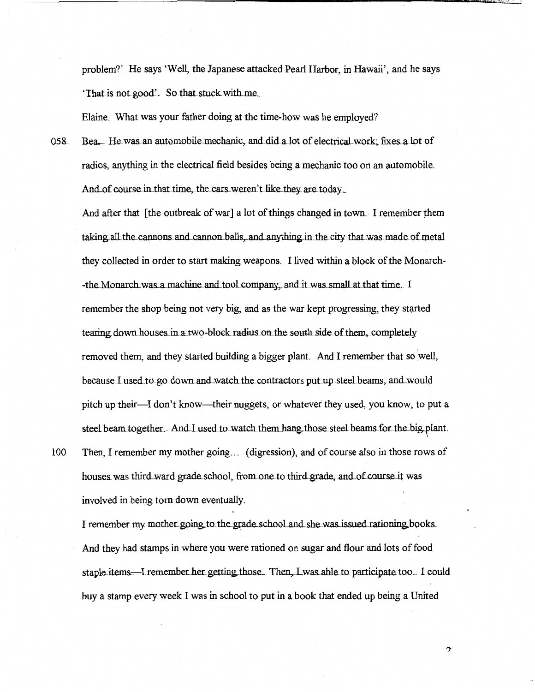problem?' He says 'Well, the Japanese attacked Pearl Harbor, in Hawaii', and he says 'That is not good'. So that stuck with me.

Elaine. What was your father doing at the time-how was he employed?

Bea. He was an automobile mechanic, and did a lot of electrical work; fixes a lot of 058 radios, anything in the electrical field besides being a mechanic too on an automobile. And of course in that time, the cars weren't like they are today.

And after that [the outbreak of war] a lot of things changed in town. I remember them taking all the cannons and cannon balls, and anything in the city that was made of metal they collected in order to start making weapons. I lived within a block of the Monarch--the Monarch was a machine and tool company, and it was small at that time. I remember the shop being not very big, and as the war kept progressing, they started tearing down houses in a two-block radius on the south side of them, completely removed them, and they started building a bigger plant. And I remember that so well, because I used to go down and watch the contractors put up steel beams, and would pitch up their—I don't know—their nuggets, or whatever they used, you know, to put a steel beam together. And I used to watch them hang those steel beams for the big plant. Then, I remember my mother going... (digression), and of course also in those rows of

100 houses was third ward grade school, from one to third grade, and of course it was involved in being torn down eventually.

I remember my mother going to the grade school and she was issued rationing books. And they had stamps in where you were rationed on sugar and flour and lots of food staple items—I remember her getting those. Then, I was able to participate too. I could buy a stamp every week I was in school to put in a book that ended up being a United

 $\mathcal{P}$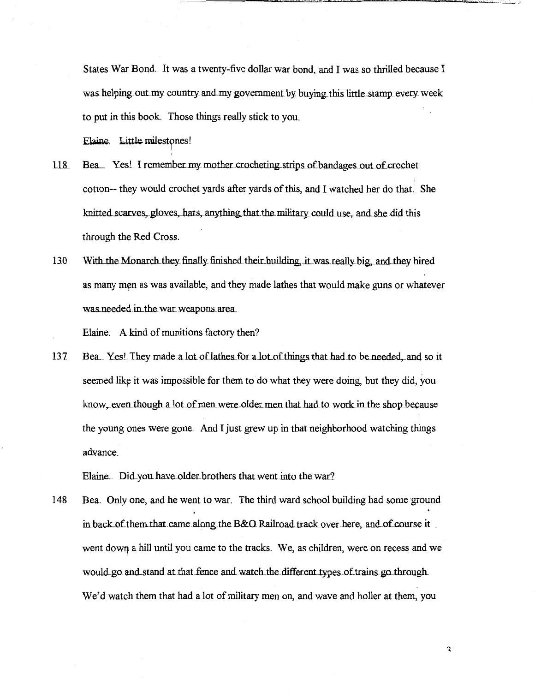States War Bond. It was a twenty-five dollar war bond, and I was so thrilled because I was helping out my country and my government by buying this little stamp every week to put in this book. Those things really stick to you.

Elaine. Little milestones!

- 118. Bea<sub>nd</sub> Yes! I remember my mother crocheting strips of bandages out of crochet cotton-- they would crochet yards after yards of this, and I watched her do that. She knitted scarves, gloves, hats, anything that the military could use, and she did this through the Red Cross.
- 130 With the Monarch they finally finished their building, it was really big, and they hired as many men as was available, and they made lathes that would make guns or whatever was needed in the war weapons area.

Elaine. A kind of munitions factory then?

137 Bea. Yes! They made a lot of lathes for a lot of things that had to be needed, and so it seemed like it was impossible for them to do what they were doing, but they did, you know, even though a lot of men were older men that had to work in the shop because the young pnes were gone. And I just grew up in that neighborhood watching things advance.

Elaine. Did you have older brothers that went into the war?

148 Bea. Only one, and he went to war. The third ward school building had some ground in back of them that came along the B&O Railroad track over here, and of course it went dowq a hill until you came to the tracks. We, as children, were on recess and we would go and stand at that fence and watch the different types of trains go through. We'd watch them that had a lot of military men on, and wave and holler at them, you

 $\mathbf{c}$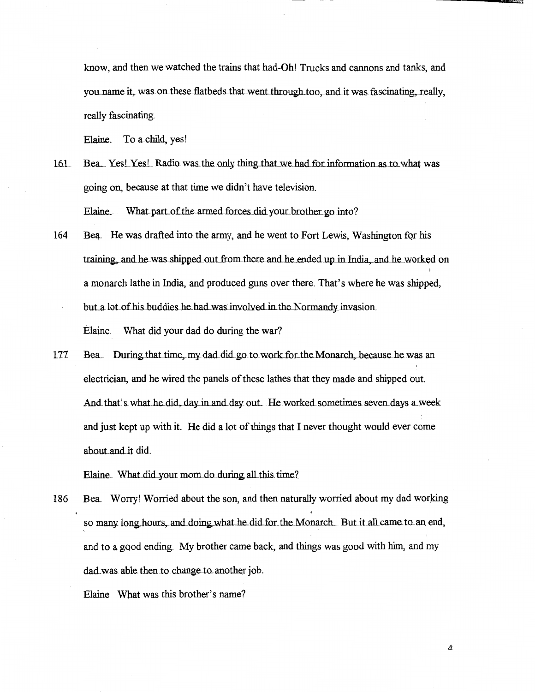know, and then we watched the trains that had-Oh! Trucks and cannons and tanks, and you name it, was on these flatbeds that went through too, and it was fascinating, really, really fascinating.

Elaine. To a.child, yes!

- 161. Bea., Yes! Yes! Radio was the only thing that we had for information as to what was going on, because at that time we didn't have television. Elaine\_ What part of the armed forces did your brother go into?
- 164 Bea. He was drafted into the army, and he went to Fort Lewis, Washington for his training, and he was shipped out from there and he ended up in India, and he worked on a monarch lathe in India, and produced guns over there. That's where he was shipped, but a lot of his buddies he had was involved in the Normandy invasion. Elaine. What did your dad do during the war?
- 177 Bea. During that time, my dad did go to work for the Monarch, because he was an electrician, and he wired the panels of these lathes that they made and shipped out. And that's what he did, day in and day out. . He worked sometimes seven days a week and just kept up with it. He did a lot of things that I never thought would ever come about and it did.

Elaine. What did your mom do during all this time?

186 Bea. Worry! Worried about the son, and then naturally worried about my dad working so many long hours, and doing what he did for the Monarch. But it all came to an end, and to a good ending. My brother came back, and things was good with him, and my dad was able then to change to another job.

Elaine What was this brother's name?

 $\boldsymbol{\varDelta}$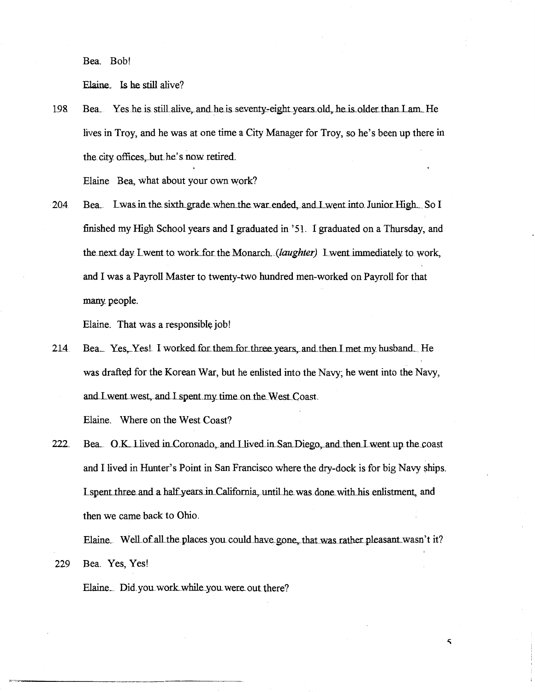Bea. Bob!

Elaine. Is he still alive?

Bea. Yes he is still alive, and he is seventy-eight years old, he is older than I am. He 198 lives in Troy, and he was at one time a City Manager for Troy, so he's been up there in the city offices, but he's now retired.

Elaine Bea, what about your own work?

Bea. Lwas in the sixth grade when the war ended, and I went into Junior High. So I 204 finished my High School years and I graduated in '51. I graduated on a Thursday, and the next day Lwent to work for the Monarch. (laughter) Lwent immediately to work, and I was a Payroll Master to twenty-two hundred men-worked on Payroll for that many people.

Elaine. That was a responsible job!

214 Bea. Yes. Yes! I worked for them for three years, and then I met my husband. He was drafted for the Korean War, but he enlisted into the Navy; he went into the Navy, and I went west, and I spent my time on the West Coast.

Elaine. Where on the West Coast?

229

Bea. O.K. I lived in Coronado, and I lived in San Diego, and then I went up the coast 222 and I lived in Hunter's Point in San Francisco where the dry-dock is for big Navy ships. I spent three and a half years in California, until he was done with his enlistment, and then we came back to Ohio.

Elaine. Well of all the places you could have gone, that was rather pleasant wasn't it? Bea. Yes, Yes!

5

Elaine. Did you work while you were out there?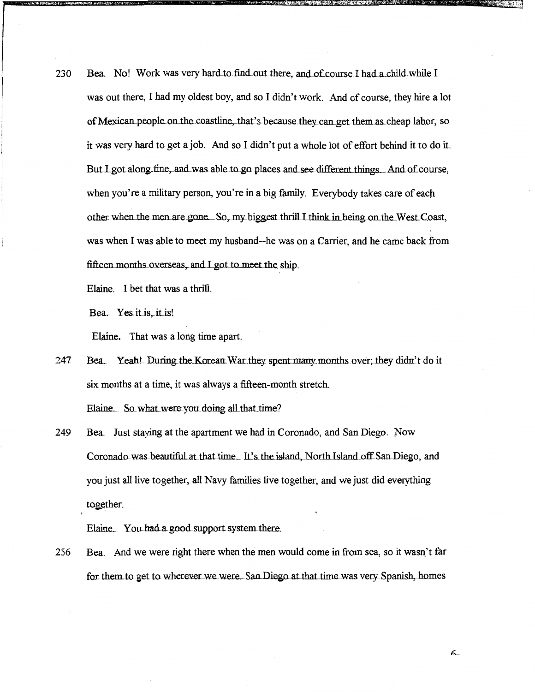230 Bea. No! Work was very hard to find out there, and of course I had a child while I was out there, I had my oldest boy, and so I didn't work. And of course, they hire a lot of Mexican people on the coastline, that's because they can get them as cheap labor, so it was very hard to get a job. And so I didn't put a whole lot of effort behind it to do it. But I got along fine, and was able to go places and see different things. And of course, when you're a military person, you're in a big family. Everybody takes care of each other when the men are gone. So, my biggest thrill I think in being on the West Coast, was when I was able to meet my husband--he was on a Carrier, and he came back from fifteen months overseas, and I got to meet the ship.

Elaine. I bet that was a thrill.

Bea. Yes it is, it is!

Elaine. That was a long time apart.

Bea. Yeah! During the Korean War they spent many months over; they didn't do it 247 six months at a time, it was always a fifteen-month stretch.

Elaine. So what were you doing all that time?

249 Bea. Just staying at the apartment we had in Coronado, and San Diego. Now Coronado was beautiful at that time. It's the island, North Island off San Diego, and you just all live together, all Navy families live together, and we just did everything together.

Elaine. You had a good support system there.

Bea. And we were right there when the men would come in from sea, so it wasn't far 256 for them to get to wherever we were. San Diego at that time was very Spanish, homes

ፋ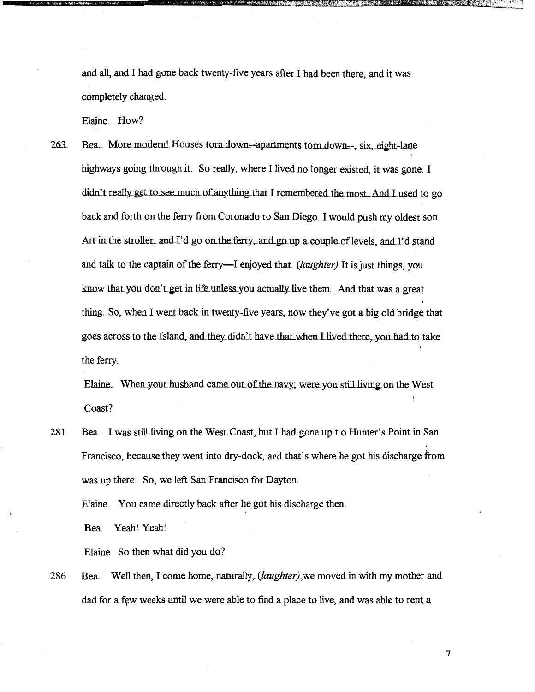and all, and I had gone back twenty-five years after I had been there, and it was completely changed.

Elaine. How?

**X:** <del>X: Ministra Williams</del>

263 Bea. More modern! Houses torn down--apartments torn down--, six, eight-lane highways going through it. So really, where I lived no longer existed, it was gone. I didn't really get to see much of anything that I remembered the most. And I used to go back and forth on the ferry from Coronado to San Diego. I would push my oldest son Art in the stroller, and I'd go on the ferry, and go up a couple of levels, and I'd stand and talk to the captain of the ferry—I enjoyed that. *(laughter)* It is just things, you know that you don't get in life unless you actually live them. And that was a great thing. So, when I went back in twenty-five years, now they've got a big old bridge that goes across to the Island, and they didn't have that when I lived there, you had to take the ferry.

Elaine. When your husband came out of the navy; were you still living on the West Coast?

281. Bea. I was still living on the West Coast, but I had gone up t o Hunter's Point in San Francisco, because they went into dry-dock, and that's where he got his discharge from was up there. So, we left San Francisco for Dayton.

+

Elaine. You came directly back after he got his discharge then.

Bea. Yeah! Yeah!

Elaine So then what did you do?

286 Bea. Well then, L come home, naturally, (*laughter*), we moved in with my mother and dad for a few weeks until we were able to find a place to live, and was able to rent a

'7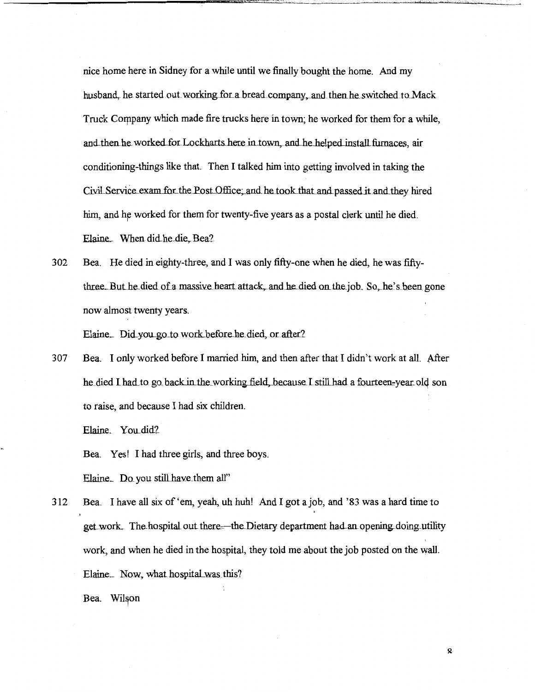nice home here in Sidney for a while until we finally bought the home. And my husband, he started out working for a bread company, and then he switched to Mack Truck Company which made fire trucks here in town; he worked for them for a while, and then he worked for Lockharts here in town, and he helped install furnaces, air conditioning-things like that. Then I talked him into getting involved in taking the Civil Service exam for the Post Office; and he took that and passed it and they hired him, and he worked for them for twenty-five years as a postal clerk until he died. Elaine. When did he die, Bea?

302 Bea. He died in eighty-three, and I was only fifty-one when he died, he was fiftythree. But he died of a massive heart attack, and he died on the job. So, he's been gone now almost twenty years.

Elaine. Did you go to work before he died, or after?

307 Bea. I only worked before I married him, and then after that I didn't work at all. After he died I had to go back in the working field, because I still had a fourteen-year old son to raise, and because I had six children.

Elaine. You did?

Bea. Yes! I had three girls, and three boys.

Elaine. Do you still have them all"

312 Bea. I have all six of 'em, yeah, uh huh! And I got a job, and '83 was a hard time to get work. The hospital out there—the Dietary department had an opening doing utility work, and when he died in the hospital, they told me about the job posted on the wall. Elaine. Now, what hospital was this?

Bea. Wilson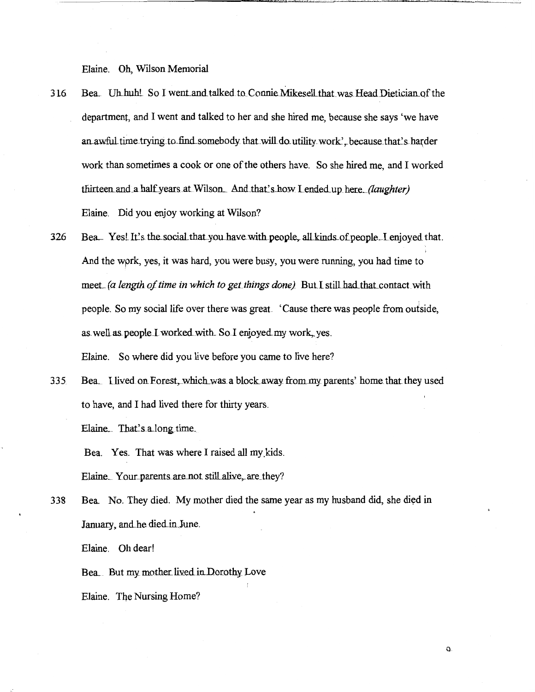Elaine. Oh, Wilson Memorial

- 316 Bea. Uh.huh! So I went and talked to Connie Mikesell that was Head Dietician of the department, and I went and talked to her and she hired me, because she says 'we have an awful time trying to find somebody that will do utility work', because that's harder work than sometimes a cook or one ofthe others have. So she hired me, and I worked thirteen and a half years at Wilson... And that's how I ended up here. *(laughter)* Elaine. Did you enjoy working at Wilson?
- 326 Bea. Yes! It's the social that you have with people, all kinds of people. I enjoyed that. And the wprk, yes, it was hard, you were busy, you were running, you had time to meet. (a length of time in which to get things done) But I still had that contact with people. So my social life over there was great. 'Cause there was people from outside, as. well as people. I worked with. So. I enjoyed my work, yes. Elaine. So where did you live before you came to live here?
- 335 Bea. I lived on Forest, which was a block away from my parents' home that they used to have, and I had lived there for thirty years.

Elaine. That's a long time.

Bea. Yes. That was where I raised all my kids.

Elaine. Your parents are not still alive, are they?

338 Bea. No. They died. My mother died the same year as my husband did, she died in January, and he died in June.

Elaine. Oh dear!

Bea.. But my mother lived in Dorothy Love

Elaine. The Nursing Home?

Q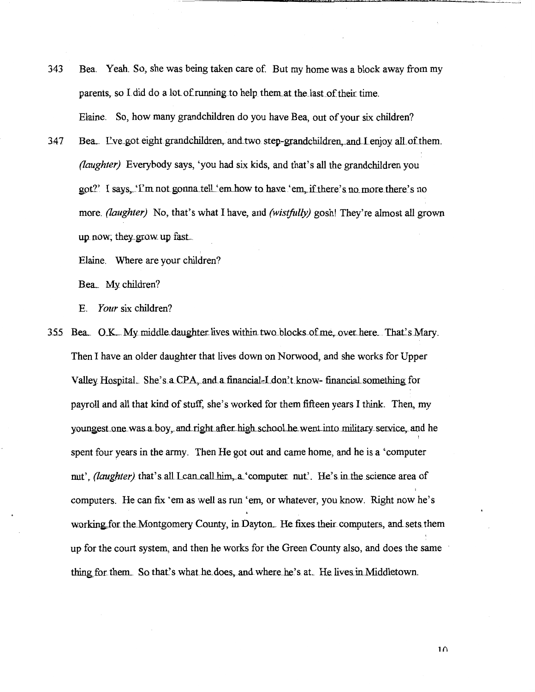- Bea. Yeah. So, she was being taken care of. But my home was a block away from my 343 parents, so I did do a lot of running to help them at the last of their time. Elaine. So, how many grandchildren do you have Bea, out of your six children?
- Bea. L've got eight grandchildren, and two step-grandchildren, and I enjoy all of them. 347 *(laughter)* Everybody says, 'you had six kids, and that's all the grandchildren you got?' I says, 'I'm not gonna tell 'em how to have 'em, if there's no more there's no more. (laughter) No, that's what I have, and (wistfully) gosh! They're almost all grown up now; they grow up fast.

Elaine. Where are your children?

Bea. My children?

E. Your six children?

3.55 Bea. O.K. My middle daughter lives within two blocks of me, over here. That's Mary. Then I have an older daughter that lives down on Norwood, and she works for Upper Valley Hospital. She's a CPA, and a financial-I don't know-financial something for payroll and all that kind of stuff, she's worked for them fifteen years I think. Then, my youngest one was a boy, and right after high school he went into military service, and he spent four years in the army. Then He got out and came home, and he is a 'computer nut', (laughter) that's all I can call him, a 'computer nut'. He's in the science area of computers. He can fix 'em as well as run 'em, or whatever, you know. Right now he's working for the Montgomery County, in Dayton. He fixes their computers, and sets them up for the court system, and then he works for the Green County also, and does the same thing for them. So that's what he does, and where he's at. He lives in Middletown.

 $1<sub>0</sub>$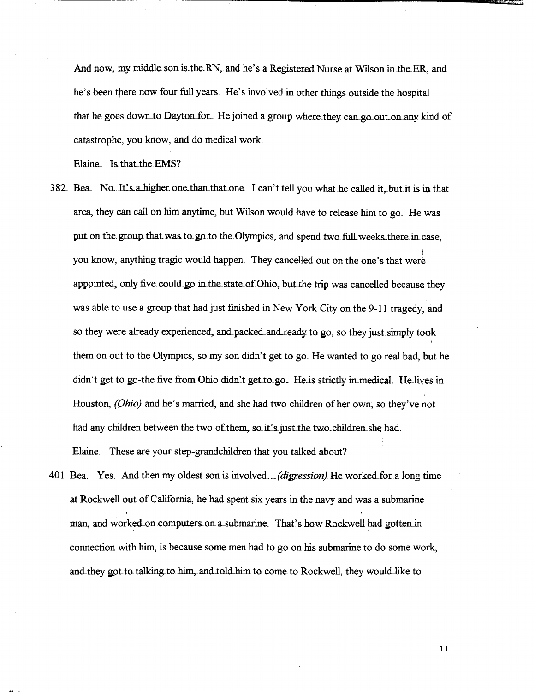And now, my middle son is the RN, and he's a Registered Nurse at Wilson in the ER, and he's been there now four full years. He's involved in other things outside the hospital that he goes down to Dayton for. He joined a group where they can go out on any kind of catastrophe, you know, and do medical work.

Elaine. Is that the EMS?

- 382. Bea. No. It's a higher one than that one. I can't tell you what he called it, but it is in that area, they can call on him anytime, but Wilson would have to release him to go. He was put on the group that was to go to the Olympics, and spend two full weeks there in case. you know, anything tragic would happen. They cancelled out on the one's that were appointed, only five could go in the state of Ohio, but the trip was cancelled because they was able to use a group that had just finished in New York City on the 9-11 tragedy, and so they were already experienced, and packed and ready to go, so they just simply took them on out to the Olympics, so my son didn't get to go. He wanted to go real bad, but he didn't get to go-the five from Ohio didn't get to go. He is strictly in medical. He lives in Houston, *(Ohio)* and he's married, and she had two children of her own; so they've not had any children between the two of them, so it's just the two children she had. Elaine. These are your step-grandchildren that you talked about?
- 401 Bea. Yes. And then my oldest son is involved. *(digression)* He worked for a long time at Rockwell out ofCalifornia, he had spent six years in the navy and was a submarine man, and worked on computers on a submarine. That's how Rockwell had gotten in ' connection with him, is because some men had to go on his submarine to do some work, and they got to talking to him, and told him to come to Rockwell, they would like to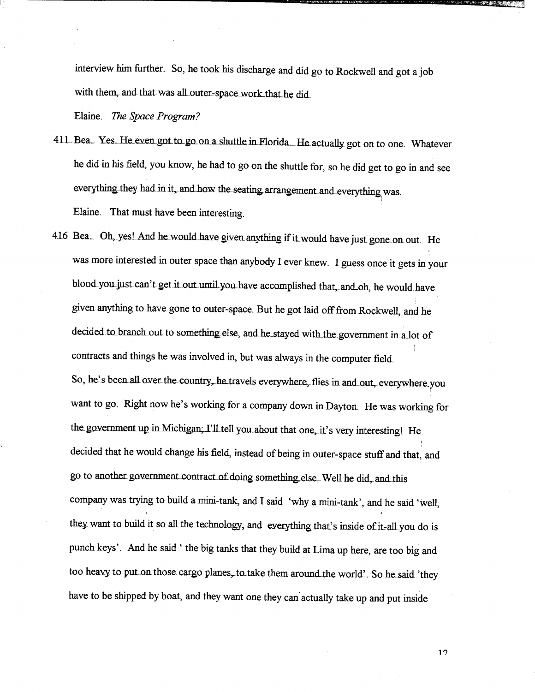interview him further. So, he took his discharge and did go to Rockwell and got a job with them, and that was all outer-space work that he did.

Elaine. *The Space Program?* 

- 411 Bea. Yes. He even got to go on a shuttle in Florida. He actually got on to one. Whatever he did in his field, you know, he had to go on the shuttle for, so he did get to go in and see everything they had in it, and how the seating arrangement and everything was. Elaine. That must have been interesting.
- 416 Bea. Oh, yes! And he would have given anything if it would have just gone on out. He was more interested in outer space than anybody I ever knew. I guess once it gets in your blood you just can't get it out until you have accomplished that, and oh, he would have given anything to have gone to outer-space. But he got laid off from Rockwell, and he decided to branch out to something else, and he stayed with the government in a lot of I contracts and things he was involved in, but was always in the computer field. So, he's been all over the country, he travels everywhere, flies in and out, everywhere you want to go. Right now he's working for a company down in Dayton. He was working for the government up in Michigan; I'll tell you about that one, it's very interesting! He decided that he would change his field, instead of being in outer-space stuff and that, and go to another government contract of doing something else. Well he did, and this company was trying to build a mini-tank, and I said 'why a mini-tank', and he said 'well, they want to build it so all the technology, and everything that's inside of it-all you do is punch keys'. And he said ' the big tanks that they build at Lima up here, are too big and too heavy to put on those cargo planes, to take them around the world'.. So he said 'they have to be shipped by boat, and they want one they can actually take up and put inside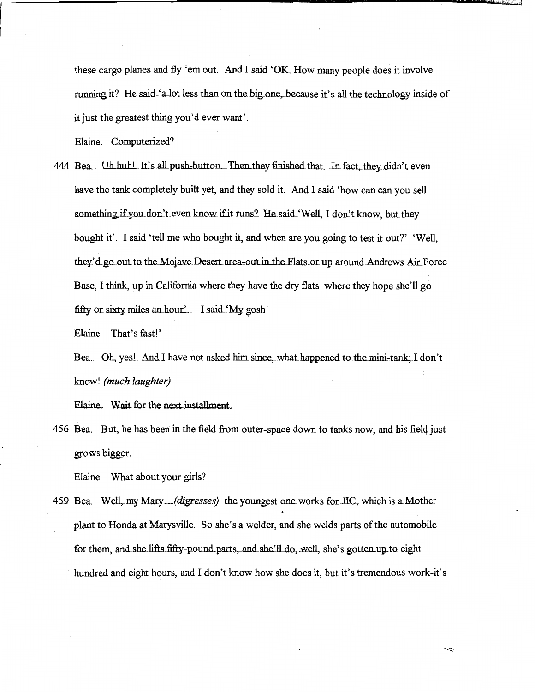these cargo planes and fly 'em out. And I said 'OK. How many people does it involve running it? He said 'a lot less than on the big one, because it's all the technology inside of it just the greatest thing you'd ever want'.

Elaine. Computerized?

444 Bea. Uh huh! It's all push-button. Then they finished that. In fact, they didn't even have the tank completely built yet, and they sold it. And I said 'how can can you sell something if you don't even know if it runs? He said 'Well, I don't know, but they bought it'. I said 'tell me who bought it, and when are you going to test it out?' 'Well, they'd go out to the Mojave Desert area-out in the Flats or up around Andrews Air Force Base, I think, up in California where they have the dry flats where they hope she'll go fifty or sixty miles an hour'. I said 'My gosh!

Elaine. That's fast!'

Bea. Oh, yes! And I have not asked him since, what happened to the mini-tank: I don't know! (much laughter)

Elaine. Wait for the next installment.

456 Bea. But, he has been in the field from outer-space down to tanks now, and his field just grows bigger.

Elaine. What about your girls?

459 Bea. Well, my Mary. *(digresses)* the youngest one works for JIC, which is a Mother plant to Honda at Marysville. So she's a welder, and she welds parts of the automobile for them, and she lifts fifty-pound parts, and she'll do, well, she's gotten up to eight hundred and eight hours, and I don't know how she does it, but it's tremendous work-it's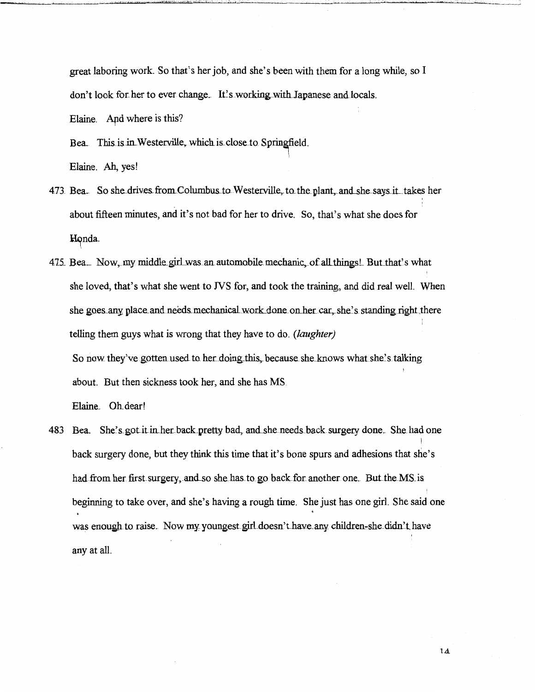great laboring work. So that's her job, and she's been with them for a long while, so I don't look for her to ever change. It's working with Japanese and locals. Elaine. And where is this?

Bea. This is in Westerville, which is close to Springfield. Elaine. Ah, yes!

- 473 Bea. So she drives from Columbus to Westerville, to the plant, and she says it takes her ' : about fifteen minutes, and it's not bad for her to drive. So, that's what she does for Honda.
- 475 Bea. Now, my middle girl was an automobile mechanic, of all things! But that's what she loved, that's what she went to NS for, and took the training, and did real well. When she goes any place and needs mechanical work done on her car, she's standing right there telling them guys what is wrong that they have to do. *(laughter)*  So now they've gotten used to her doing this, because she knows what she's talking about. But then sickness took her, and she has MS.

Elaine. Oh dear!

483 Bea. She's got it in her back pretty bad, and she needs back surgery done. She had one back surgery done, but they think this time that it's bone spurs and adhesions that she's had from her first surgery, and so she has to go back for another one. But the MS is beginning to take over, and she's having a rough time. She just has one girl. She said one was enough to raise. Now my youngest girl doesn't have any children-she didn't have ' any at all.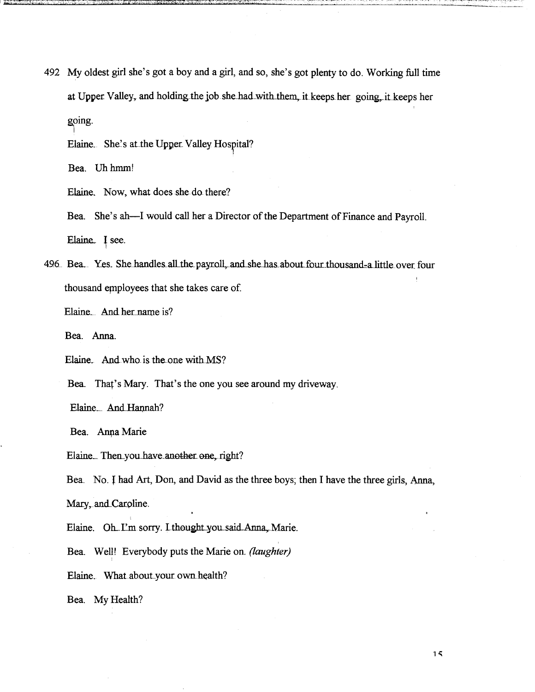492 My oldest girl she's got a boy and a girl, and so, she's got plenty to do. Working full time at Upper Valley, and holding the job she had with them, it keeps her going, it keeps her going.

Elaine. She's at the Upper Valley Hospital?

Bea. Uh hmm!

Elaine. Now, what does she do there?

Bea. She's ah--I would call her a Director of the Department of Finance and Payroll. Elaine. I see.

496 Bea. Yes. She handles all the payroll, and she has about four thousand-a little over four thousand employees that she takes care of.

Elaine. And her name is?

Bea. Anna.

Elaine. And who is the one with MS?

Bea. That's Mary. That's the one you see around my driveway.

Elaine\_ And Hannah?

Bea. Anna Marie

Elaine\_ Then\_you\_have\_another\_one, right?

Bea. No. I had Art, Don, and David as the three boys; then I have the three girls, Anna, Mary, and Caroline.

Elaine. Oh. I'm sorry. Ltheught you said Anna, Marie.

Bea. Well! Everybody puts the Marie on. *(laughter)* 

Elaine. What about your own health?

Bea. My Health?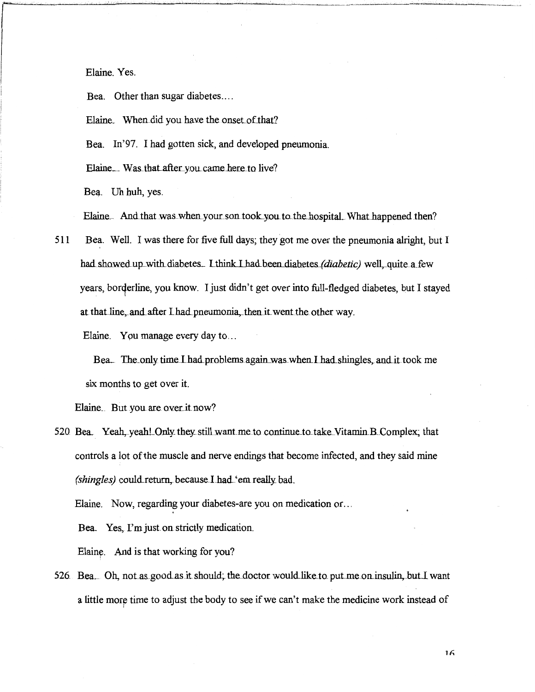Elaine. Yes.

Bea. Other than sugar diabetes....

Elaine. When did you have the onset of that?

Bea. In'97. I had gotten sick, and developed pneumonia.

Elaine. Was that after you came here to live?

Bea. Uh huh, yes.

Elaine. And that was when your son took you to the hospital. What happened then?

Bea. Well. I was there for five full days; they got me over the pneumonia alright, but I 511 had showed up with diabetes. I think I had been diabetes *(diabetic)* well, quite a few years, borderline, you know. I just didn't get over into full-fledged diabetes, but I stayed at that line, and after I had pneumonia, then it went the other way.

Elaine. You manage every day to...

Bea. The only time I had problems again was when I had shingles, and it took me six months to get over it.

Elaine. But you are over it now?

520 Bea. Yeah, yeah! Only they still want me to continue to take Vitamin B Complex; that controls a lot of the muscle and nerve endings that become infected, and they said mine (shingles) could return, because I had 'em really bad.

Elaine. Now, regarding your diabetes-are you on medication or...

Bea. Yes, I'm just on strictly medication.

Elaine. And is that working for you?

526 Bea. Oh, not as good as it should; the doctor would like to put me on insulin, but I want a little more time to adjust the body to see if we can't make the medicine work instead of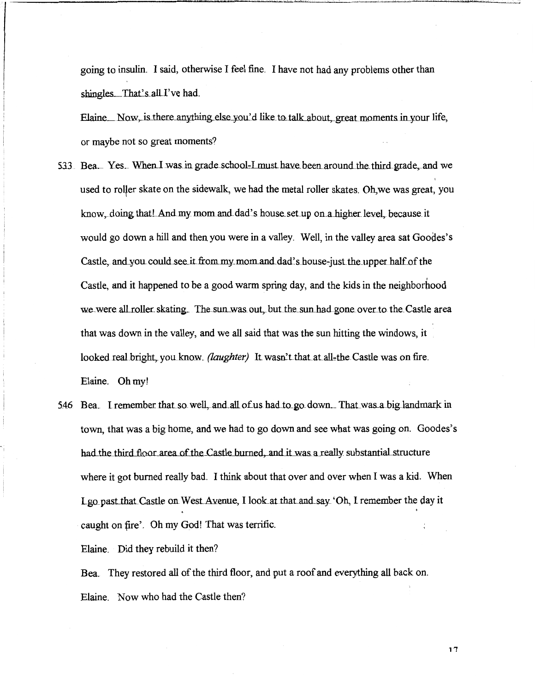going to insulin. I said, otherwise I feel fine. I have not had any problems other than shingles. That's all I've had.

Elaine Now, is there anything else you'd like to talk about, great moments in your life, or maybe not so great moments?

- 533 Bea. Yes. When I was in grade school-I must have been around the third grade, and we used to roller skate on the sidewalk, we had the metal roller skates. Oh, we was great, you know, doing that And my mom and dad's house set up on a higher level, because it would go down a hill and then you were in a valley. Well, in the valley area sat Goodes's Castle, and you could see it from my mom and dad's house-just the upper half of the Castle, and it happened to be a good warm spring day, and the kids in the neighborhood we were all roller skating. The sun was out, but the sun had gone over to the Castle area that was down in the valley, and we all said that was the sun hitting the windows, it looked real bright, you know. *(laughter)* It wasn't that at all-the Castle was on fire. Elaine. Oh my!
- 5.46 Bea. I remember that so well, and all of us had to go down. That was a big landmark in town, that was a big home, and we had to go down and see what was going on. Goodes's had the third floor area of the Castle burned, and it was a really substantial structure where it got burned really bad. I think about that over and over when I was a kid. When Lgo past that Castle on West Avenue, I look at that and say. 'Oh, I remember the day it  $\ddot{\phantom{0}}$ caught on fire'. Oh my God! That was terrific.

Elaine. Did they rebuild it then?

Bea. They restored all of the third floor, and put a roof and everything all back on. Elaine. Now who had the Castle then?